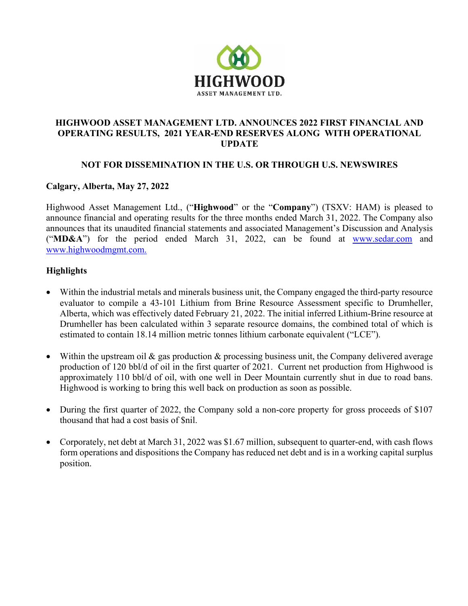

## HIGHWOOD ASSET MANAGEMENT LTD. ANNOUNCES 2022 FIRST FINANCIAL AND OPERATING RESULTS, 2021 YEAR-END RESERVES ALONG WITH OPERATIONAL UPDATE

# NOT FOR DISSEMINATION IN THE U.S. OR THROUGH U.S. NEWSWIRES

## Calgary, Alberta, May 27, 2022

Highwood Asset Management Ltd., ("Highwood" or the "Company") (TSXV: HAM) is pleased to announce financial and operating results for the three months ended March 31, 2022. The Company also announces that its unaudited financial statements and associated Management's Discussion and Analysis ("MD&A") for the period ended March 31, 2022, can be found at [www.sedar.com](http://www.sedar.com/) and [www.highwoodmgmt.com](http://www.highwoodmgmt.com/).

# **Highlights**

- Within the industrial metals and minerals business unit, the Company engaged the third-party resource evaluator to compile a 43-101 Lithium from Brine Resource Assessment specific to Drumheller, Alberta, which was effectively dated February 21, 2022. The initial inferred Lithium-Brine resource at Drumheller has been calculated within 3 separate resource domains, the combined total of which is estimated to contain 18.14 million metric tonnes lithium carbonate equivalent ("LCE").
- Within the upstream oil  $\&$  gas production  $\&$  processing business unit, the Company delivered average production of 120 bbl/d of oil in the first quarter of 2021. Current net production from Highwood is approximately 110 bbl/d of oil, with one well in Deer Mountain currently shut in due to road bans. Highwood is working to bring this well back on production as soon as possible.
- During the first quarter of 2022, the Company sold a non-core property for gross proceeds of \$107 thousand that had a cost basis of \$nil.
- Corporately, net debt at March 31, 2022 was \$1.67 million, subsequent to quarter-end, with cash flows form operations and dispositions the Company has reduced net debt and is in a working capital surplus position.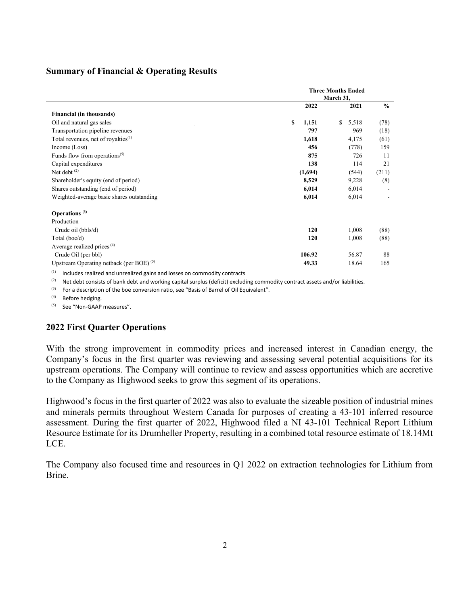#### Summary of Financial & Operating Results

|                                                 | <b>Three Months Ended</b><br>March 31, |             |               |
|-------------------------------------------------|----------------------------------------|-------------|---------------|
|                                                 | 2022                                   | 2021        | $\frac{0}{0}$ |
| Financial (in thousands)                        |                                        |             |               |
| Oil and natural gas sales                       | S<br>1,151                             | \$<br>5,518 | (78)          |
| Transportation pipeline revenues                | 797                                    | 969         | (18)          |
| Total revenues, net of royalties <sup>(1)</sup> | 1,618                                  | 4,175       | (61)          |
| Income (Loss)                                   | 456                                    | (778)       | 159           |
| Funds flow from operations <sup>(5)</sup>       | 875                                    | 726         | 11            |
| Capital expenditures                            | 138                                    | 114         | 21            |
| Net debt $(2)$                                  | (1,694)                                | (544)       | (211)         |
| Shareholder's equity (end of period)            | 8,529                                  | 9,228       | (8)           |
| Shares outstanding (end of period)              | 6,014                                  | 6,014       |               |
| Weighted-average basic shares outstanding       | 6,014                                  | 6,014       |               |
| Operations $(3)$                                |                                        |             |               |
| Production                                      |                                        |             |               |
| Crude oil (bbls/d)                              | 120                                    | 1,008       | (88)          |
| Total (boe/d)                                   | 120                                    | 1,008       | (88)          |
| Average realized prices $(4)$                   |                                        |             |               |
| Crude Oil (per bbl)                             | 106.92                                 | 56.87       | 88            |
| Upstream Operating netback (per BOE) $(5)$      | 49.33                                  | 18.64       | 165           |
|                                                 |                                        |             |               |

 $(1)$  Includes realized and unrealized gains and losses on commodity contracts

 $(2)$  Net debt consists of bank debt and working capital surplus (deficit) excluding commodity contract assets and/or liabilities.

(3) For a description of the boe conversion ratio, see "Basis of Barrel of Oil Equivalent".

(4) Before hedging.

(5) See "Non-GAAP measures".

#### 2022 First Quarter Operations

With the strong improvement in commodity prices and increased interest in Canadian energy, the Company's focus in the first quarter was reviewing and assessing several potential acquisitions for its upstream operations. The Company will continue to review and assess opportunities which are accretive to the Company as Highwood seeks to grow this segment of its operations.

Highwood's focus in the first quarter of 2022 was also to evaluate the sizeable position of industrial mines and minerals permits throughout Western Canada for purposes of creating a 43-101 inferred resource assessment. During the first quarter of 2022, Highwood filed a NI 43-101 Technical Report Lithium Resource Estimate for its Drumheller Property, resulting in a combined total resource estimate of 18.14Mt LCE.

The Company also focused time and resources in Q1 2022 on extraction technologies for Lithium from Brine.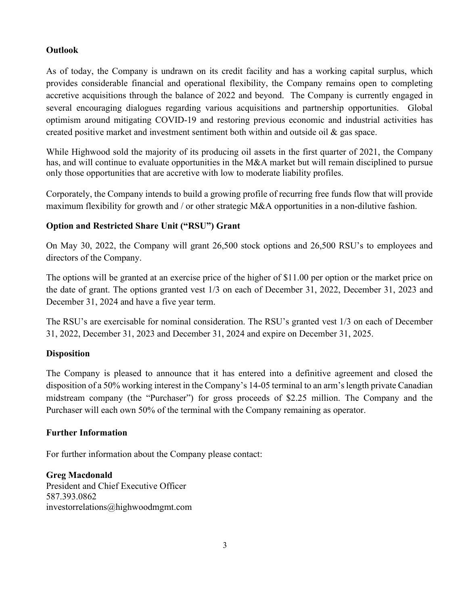### Outlook

As of today, the Company is undrawn on its credit facility and has a working capital surplus, which provides considerable financial and operational flexibility, the Company remains open to completing accretive acquisitions through the balance of 2022 and beyond. The Company is currently engaged in several encouraging dialogues regarding various acquisitions and partnership opportunities. Global optimism around mitigating COVID-19 and restoring previous economic and industrial activities has created positive market and investment sentiment both within and outside oil & gas space.

While Highwood sold the majority of its producing oil assets in the first quarter of 2021, the Company has, and will continue to evaluate opportunities in the M&A market but will remain disciplined to pursue only those opportunities that are accretive with low to moderate liability profiles.

Corporately, the Company intends to build a growing profile of recurring free funds flow that will provide maximum flexibility for growth and / or other strategic M&A opportunities in a non-dilutive fashion.

## Option and Restricted Share Unit ("RSU") Grant

On May 30, 2022, the Company will grant 26,500 stock options and 26,500 RSU's to employees and directors of the Company.

The options will be granted at an exercise price of the higher of \$11.00 per option or the market price on the date of grant. The options granted vest 1/3 on each of December 31, 2022, December 31, 2023 and December 31, 2024 and have a five year term.

The RSU's are exercisable for nominal consideration. The RSU's granted vest 1/3 on each of December 31, 2022, December 31, 2023 and December 31, 2024 and expire on December 31, 2025.

### **Disposition**

The Company is pleased to announce that it has entered into a definitive agreement and closed the disposition of a 50% working interest in the Company's 14-05 terminal to an arm's length private Canadian midstream company (the "Purchaser") for gross proceeds of \$2.25 million. The Company and the Purchaser will each own 50% of the terminal with the Company remaining as operator.

### Further Information

For further information about the Company please contact:

Greg Macdonald President and Chief Executive Officer 587.393.0862 investorrelations@highwoodmgmt.com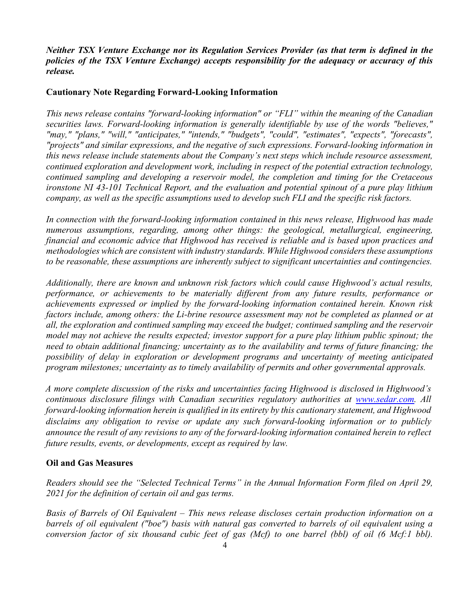*Neither TSX Venture Exchange nor its Regulation Services Provider (as that term is defined in the policies of the TSX Venture Exchange) accepts responsibility for the adequacy or accuracy of this release.*

### Cautionary Note Regarding Forward-Looking Information

*This news release contains "forward-looking information" or "FLI" within the meaning of the Canadian securities laws. Forward-looking information is generally identifiable by use of the words "believes," "may," "plans," "will," "anticipates," "intends," "budgets", "could", "estimates", "expects", "forecasts", "projects" and similar expressions, and the negative of such expressions. Forward-looking information in this news release include statements about the Company's next steps which include resource assessment, continued exploration and development work, including in respect of the potential extraction technology, continued sampling and developing a reservoir model, the completion and timing for the Cretaceous ironstone NI 43-101 Technical Report, and the evaluation and potential spinout of a pure play lithium company, as well as the specific assumptions used to develop such FLI and the specific risk factors.*

*In connection with the forward-looking information contained in this news release, Highwood has made numerous assumptions, regarding, among other things: the geological, metallurgical, engineering, financial and economic advice that Highwood has received is reliable and is based upon practices and methodologies which are consistent with industry standards. While Highwood considers these assumptions to be reasonable, these assumptions are inherently subject to significant uncertainties and contingencies.* 

*Additionally, there are known and unknown risk factors which could cause Highwood's actual results, performance, or achievements to be materially different from any future results, performance or achievements expressed or implied by the forward-looking information contained herein. Known risk factors include, among others: the Li-brine resource assessment may not be completed as planned or at all, the exploration and continued sampling may exceed the budget; continued sampling and the reservoir model may not achieve the results expected; investor support for a pure play lithium public spinout; the need to obtain additional financing; uncertainty as to the availability and terms of future financing; the possibility of delay in exploration or development programs and uncertainty of meeting anticipated program milestones; uncertainty as to timely availability of permits and other governmental approvals.*

*A more complete discussion of the risks and uncertainties facing Highwood is disclosed in Highwood's continuous disclosure filings with Canadian securities regulatory authorities at www.sedar.com. All forward-looking information herein is qualified in its entirety by this cautionary statement, and Highwood disclaims any obligation to revise or update any such forward-looking information or to publicly announce the result of any revisions to any of the forward-looking information contained herein to reflect future results, events, or developments, except as required by law.*

### Oil and Gas Measures

*Readers should see the "Selected Technical Terms" in the Annual Information Form filed on April 29, 2021 for the definition of certain oil and gas terms.*

*Basis of Barrels of Oil Equivalent – This news release discloses certain production information on a barrels of oil equivalent ("boe") basis with natural gas converted to barrels of oil equivalent using a conversion factor of six thousand cubic feet of gas (Mcf) to one barrel (bbl) of oil (6 Mcf:1 bbl).*